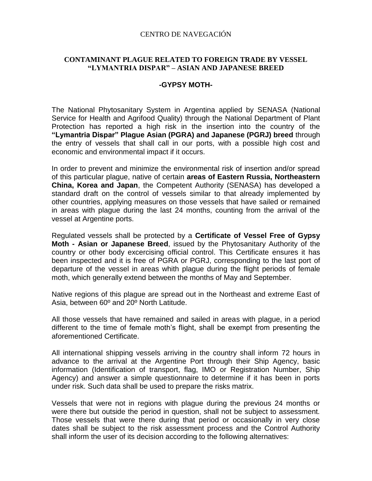## CENTRO DE NAVEGACIÓN

## **CONTAMINANT PLAGUE RELATED TO FOREIGN TRADE BY VESSEL "LYMANTRIA DISPAR" – ASIAN AND JAPANESE BREED**

## **-GYPSY MOTH-**

The National Phytosanitary System in Argentina applied by SENASA (National Service for Health and Agrifood Quality) through the National Department of Plant Protection has reported a high risk in the insertion into the country of the **"Lymantria Dispar" Plague Asian (PGRA) and Japanese (PGRJ) breed** through the entry of vessels that shall call in our ports, with a possible high cost and economic and environmental impact if it occurs.

In order to prevent and minimize the environmental risk of insertion and/or spread of this particular plague, native of certain **areas of Eastern Russia, Northeastern China, Korea and Japan**, the Competent Authority (SENASA) has developed a standard draft on the control of vessels similar to that already implemented by other countries, applying measures on those vessels that have sailed or remained in areas with plague during the last 24 months, counting from the arrival of the vessel at Argentine ports.

Regulated vessels shall be protected by a **Certificate of Vessel Free of Gypsy Moth - Asian or Japanese Breed**, issued by the Phytosanitary Authority of the country or other body excercising official control. This Certificate ensures it has been inspected and it is free of PGRA or PGRJ, corresponding to the last port of departure of the vessel in areas whith plague during the flight periods of female moth, which generally extend between the months of May and September.

Native regions of this plague are spread out in the Northeast and extreme East of Asia, between 60º and 20º North Latitude.

All those vessels that have remained and sailed in areas with plague, in a period different to the time of female moth's flight, shall be exempt from presenting the aforementioned Certificate.

All international shipping vessels arriving in the country shall inform 72 hours in advance to the arrival at the Argentine Port through their Ship Agency, basic information (Identification of transport, flag, IMO or Registration Number, Ship Agency) and answer a simple questionnaire to determine if it has been in ports under risk. Such data shall be used to prepare the risks matrix.

Vessels that were not in regions with plague during the previous 24 months or were there but outside the period in question, shall not be subject to assessment. Those vessels that were there during that period or occasionally in very close dates shall be subject to the risk assessment process and the Control Authority shall inform the user of its decision according to the following alternatives: